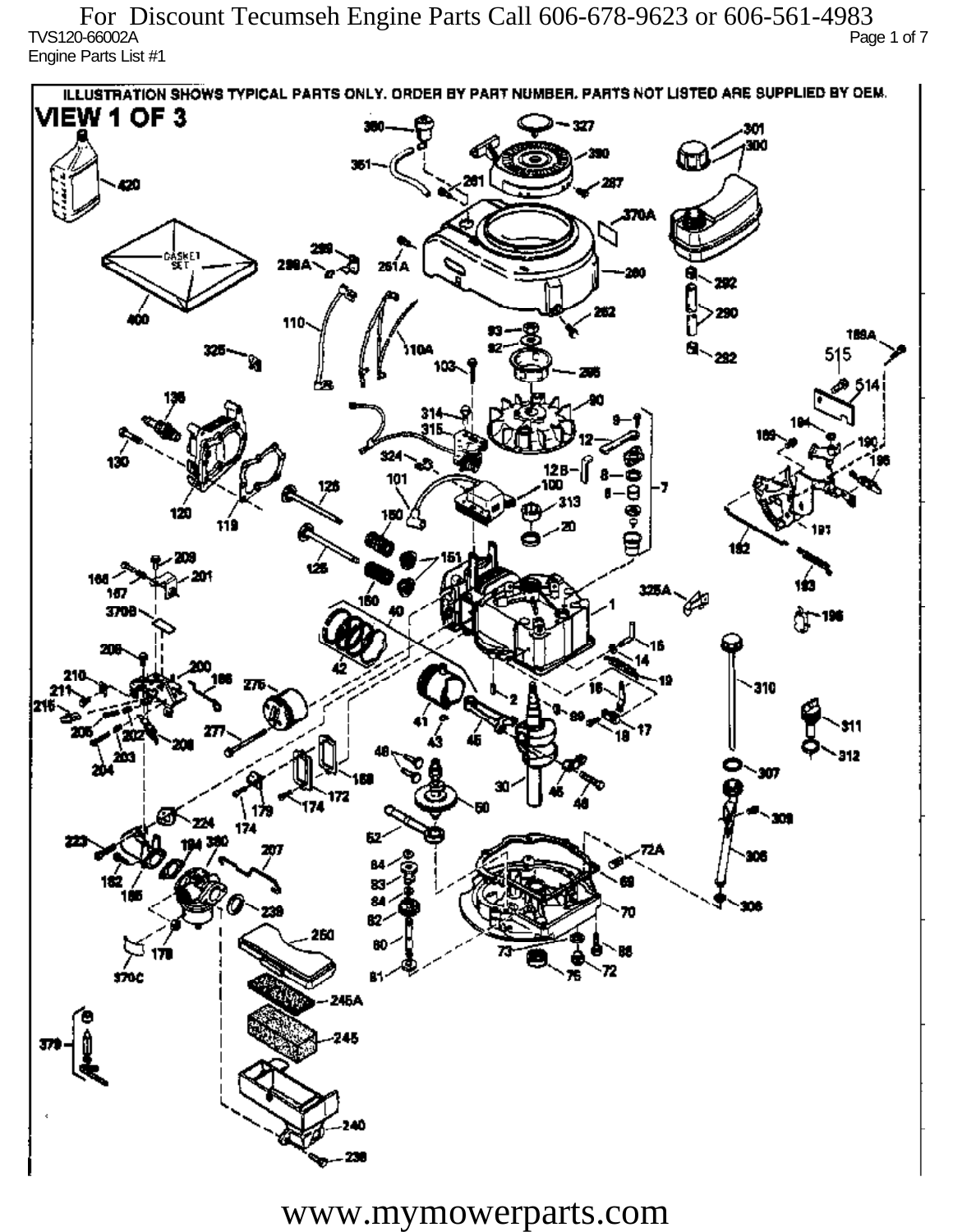TVS120-66002A Page 1 of 7 Engine Parts List #1 For Discount Tecumseh Engine Parts Call 606-678-9623 or 606-561-4983

ILLUSTRATION SHOWS TYPICAL PARTS ONLY. ORDER BY PART NUMBER, PARTS NOT LISTED ARE SUPPLIED BY DEM. **VIEW 1 OF 3** - 327 301 300 20 370A iskF1 261 A ж 292 290 110 1894 515 292 324 130 12 R 101 313 120 دھر 1ś2 ÚБ 160 167 160 P 3709 196 77 310 912 201 Ô,  $\mathbf{m}$ 172 174 174 182 ÷. ß2 260 72 sioc 76 81 245A 245 40

www.mymowerparts.com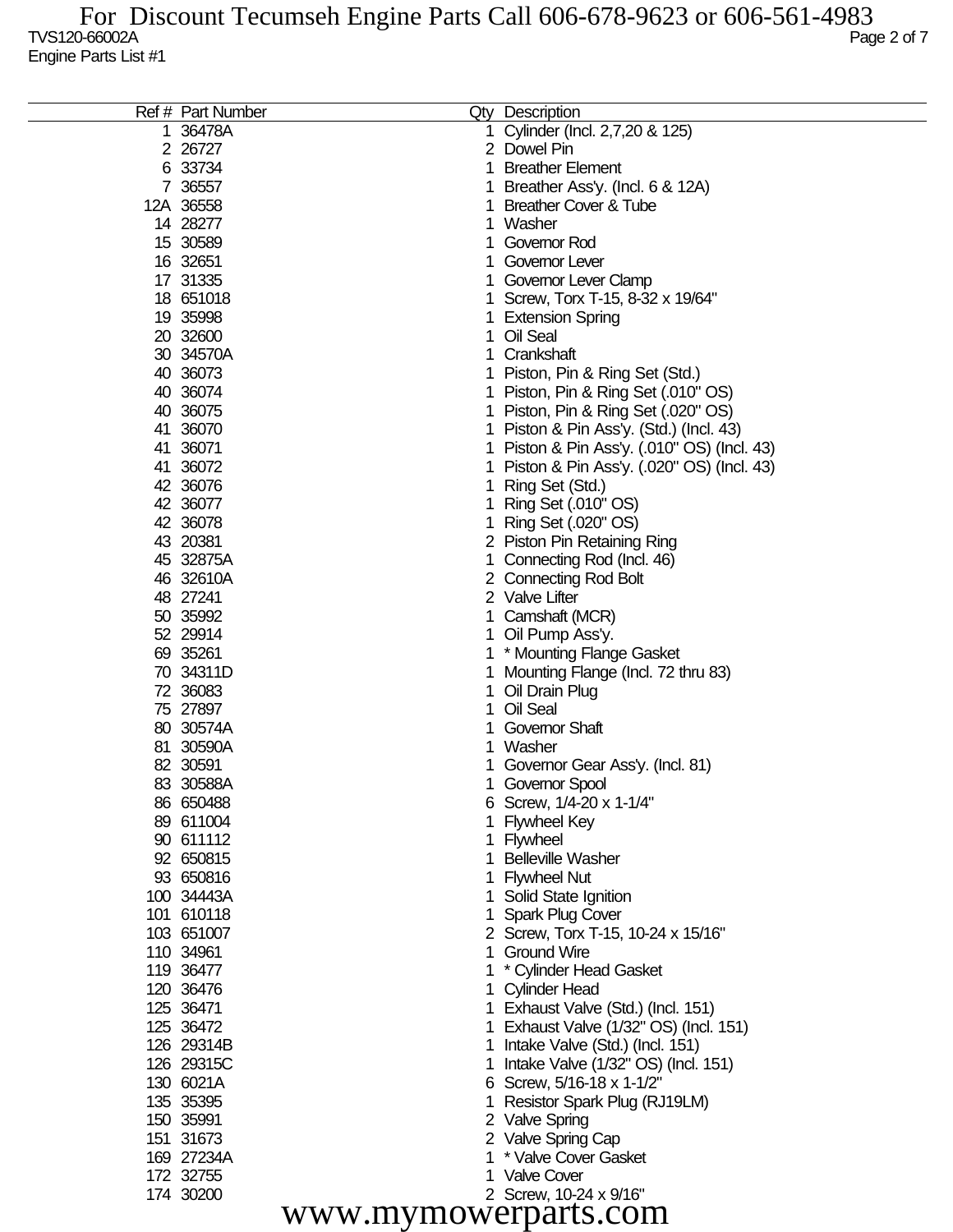| Ref # Part Number    |    | Qty Description                             |  |  |
|----------------------|----|---------------------------------------------|--|--|
| 36478A               | 1. | Cylinder (Incl. 2,7,20 & 125)               |  |  |
| 2 26727              |    | 2 Dowel Pin                                 |  |  |
| 6 33734              |    | <b>Breather Element</b>                     |  |  |
| 7 36557              |    | Breather Ass'y. (Incl. 6 & 12A)             |  |  |
| 12A 36558            |    | <b>Breather Cover &amp; Tube</b>            |  |  |
| 14 28277             |    | Washer                                      |  |  |
| 15 30589             |    | Governor Rod                                |  |  |
| 16 32651             |    | Governor Lever                              |  |  |
| 17 31335             |    | Governor Lever Clamp                        |  |  |
| 18 651018            |    | 1 Screw, Torx T-15, 8-32 x 19/64"           |  |  |
| 19 35998             |    | 1 Extension Spring                          |  |  |
| 20 32600             |    | Oil Seal                                    |  |  |
| 30 34570A            |    | Crankshaft                                  |  |  |
| 40 36073             |    | Piston, Pin & Ring Set (Std.)               |  |  |
| 40 36074             |    | 1 Piston, Pin & Ring Set (.010" OS)         |  |  |
| 40 36075             |    | 1 Piston, Pin & Ring Set (.020" OS)         |  |  |
| 41 36070             |    | 1 Piston & Pin Ass'y. (Std.) (Incl. 43)     |  |  |
| 41 36071             |    | 1 Piston & Pin Ass'y. (.010" OS) (Incl. 43) |  |  |
| 41 36072             |    | 1 Piston & Pin Ass'y. (.020" OS) (Incl. 43) |  |  |
| 42 36076             |    | Ring Set (Std.)                             |  |  |
| 42 36077             |    | Ring Set (.010" OS)                         |  |  |
| 42 36078             |    |                                             |  |  |
| 43 20381             |    | Ring Set (.020" OS)                         |  |  |
|                      |    | 2 Piston Pin Retaining Ring                 |  |  |
| 45 32875A            |    | Connecting Rod (Incl. 46)                   |  |  |
| 46 32610A            |    | 2 Connecting Rod Bolt                       |  |  |
| 48 27241             |    | 2 Valve Lifter                              |  |  |
| 50 35992             |    | Camshaft (MCR)                              |  |  |
| 52 29914             |    | 1 Oil Pump Ass'y.                           |  |  |
| 69 35261             |    | 1 * Mounting Flange Gasket                  |  |  |
| 70 34311D            |    | 1 Mounting Flange (Incl. 72 thru 83)        |  |  |
| 72 36083             | 1. | Oil Drain Plug                              |  |  |
| 75 27897             |    | Oil Seal                                    |  |  |
| 80 30574A            |    | <b>Governor Shaft</b>                       |  |  |
| 81 30590A            |    | Washer                                      |  |  |
| 82 30591             |    | Governor Gear Ass'y. (Incl. 81)             |  |  |
| 83 30588A            |    | 1 Governor Spool                            |  |  |
| 86 650488            |    | 6 Screw, 1/4-20 x 1-1/4"                    |  |  |
| 89 611004            |    | <b>Flywheel Key</b>                         |  |  |
| 90 611112            |    | 1 Flywheel                                  |  |  |
| 92 650815            |    | <b>Belleville Washer</b>                    |  |  |
| 93 650816            |    | <b>Flywheel Nut</b>                         |  |  |
| 100 34443A           |    | 1 Solid State Ignition                      |  |  |
| 101 610118           |    | <b>Spark Plug Cover</b>                     |  |  |
| 103 651007           |    | 2 Screw, Torx T-15, 10-24 x 15/16"          |  |  |
| 110 34961            | 1. | <b>Ground Wire</b>                          |  |  |
| 119 36477            |    | * Cylinder Head Gasket                      |  |  |
| 120 36476            |    | 1 Cylinder Head                             |  |  |
| 125 36471            |    | 1 Exhaust Valve (Std.) (Incl. 151)          |  |  |
| 125 36472            |    | 1 Exhaust Valve (1/32" OS) (Incl. 151)      |  |  |
| 126 29314B           |    | 1 Intake Valve (Std.) (Incl. 151)           |  |  |
| 126 29315C           |    | Intake Valve (1/32" OS) (Incl. 151)         |  |  |
| 130 6021A            |    | 6 Screw, 5/16-18 x 1-1/2"                   |  |  |
| 135 35395            |    | Resistor Spark Plug (RJ19LM)                |  |  |
| 150 35991            |    | 2 Valve Spring                              |  |  |
| 151 31673            |    | 2 Valve Spring Cap                          |  |  |
| 169 27234A           |    | * Valve Cover Gasket                        |  |  |
| 172 32755            |    | 1 Valve Cover                               |  |  |
| 174 30200            |    | 2 Screw, 10-24 x 9/16"                      |  |  |
| www.mymowerparts.com |    |                                             |  |  |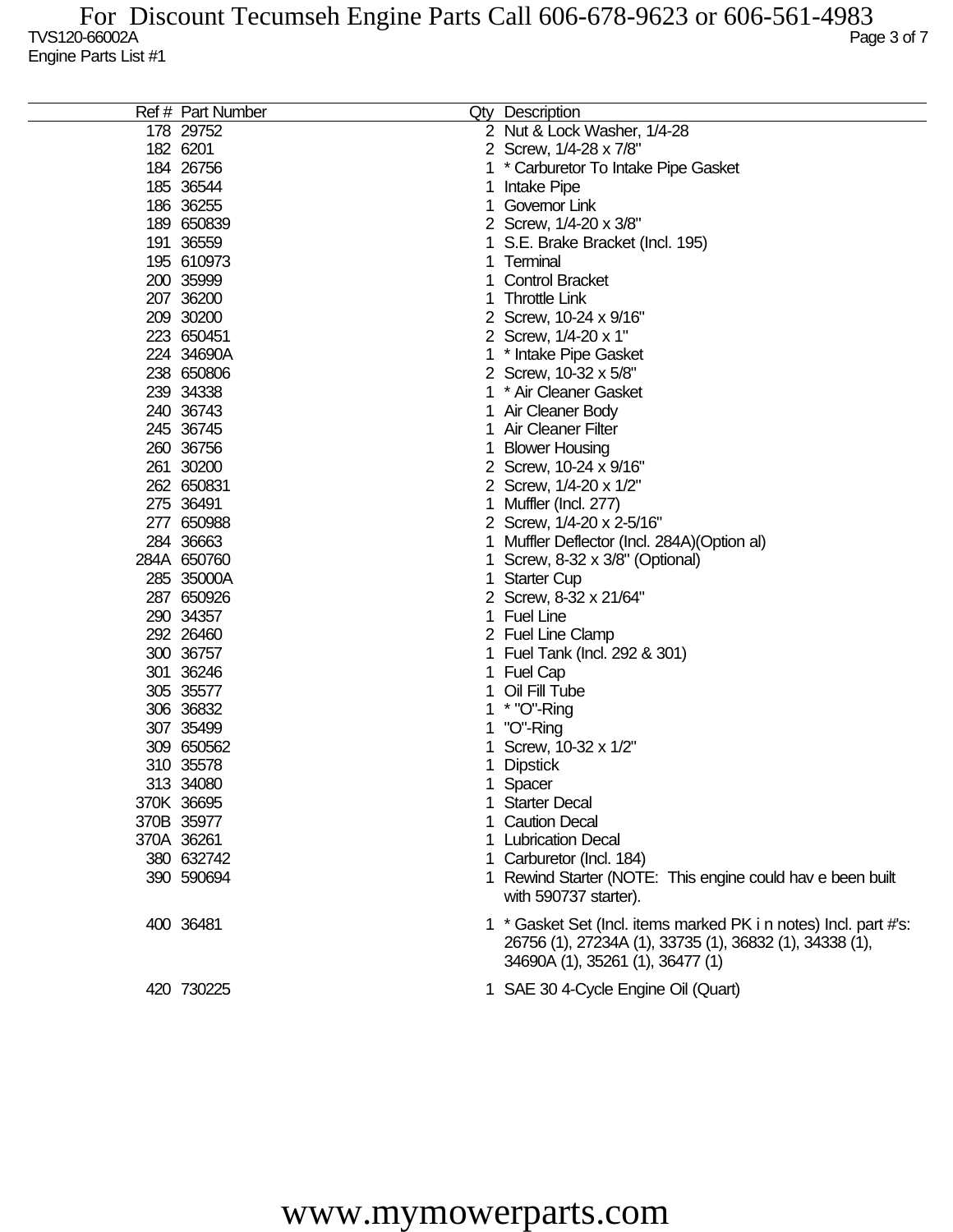| Ref # Part Number |   | Qty Description                                                                                                             |
|-------------------|---|-----------------------------------------------------------------------------------------------------------------------------|
| 178 29752         |   | 2 Nut & Lock Washer, 1/4-28                                                                                                 |
| 182 6201          |   | 2 Screw, 1/4-28 x 7/8"                                                                                                      |
| 184 26756         |   | * Carburetor To Intake Pipe Gasket                                                                                          |
| 185 36544         | 1 | Intake Pipe                                                                                                                 |
| 186 36255         |   | Governor Link                                                                                                               |
| 189 650839        |   | 2 Screw, 1/4-20 x 3/8"                                                                                                      |
| 191 36559         |   | S.E. Brake Bracket (Incl. 195)                                                                                              |
| 195 610973        |   | Terminal                                                                                                                    |
| 200 35999         |   | <b>Control Bracket</b>                                                                                                      |
| 207 36200         |   | <b>Throttle Link</b>                                                                                                        |
| 209 30200         |   | 2 Screw, 10-24 x 9/16"                                                                                                      |
| 223 650451        |   | 2 Screw, 1/4-20 x 1"                                                                                                        |
| 224 34690A        |   | 1 * Intake Pipe Gasket                                                                                                      |
| 238 650806        |   | 2 Screw, 10-32 x 5/8"                                                                                                       |
| 239 34338         | 1 | * Air Cleaner Gasket                                                                                                        |
| 240 36743         |   | Air Cleaner Body                                                                                                            |
| 245 36745         |   | Air Cleaner Filter                                                                                                          |
|                   |   |                                                                                                                             |
| 260 36756         |   | <b>Blower Housing</b>                                                                                                       |
| 261 30200         |   | 2 Screw, 10-24 x 9/16"                                                                                                      |
| 262 650831        |   | 2 Screw, 1/4-20 x 1/2"                                                                                                      |
| 275 36491         |   | 1 Muffler (Incl. 277)                                                                                                       |
| 277 650988        |   | 2 Screw, 1/4-20 x 2-5/16"                                                                                                   |
| 284 36663         |   | 1 Muffler Deflector (Incl. 284A) (Option al)                                                                                |
| 284A 650760       | 1 | Screw, 8-32 x 3/8" (Optional)                                                                                               |
| 285 35000A        | 1 | <b>Starter Cup</b>                                                                                                          |
| 287 650926        |   | 2 Screw, 8-32 x 21/64"                                                                                                      |
| 290 34357         |   | 1 Fuel Line                                                                                                                 |
| 292 26460         |   | 2 Fuel Line Clamp                                                                                                           |
| 300 36757         |   | 1 Fuel Tank (Incl. 292 & 301)                                                                                               |
| 301 36246         |   | 1 Fuel Cap                                                                                                                  |
| 305 35577         |   | Oil Fill Tube                                                                                                               |
| 306 36832         |   | $*$ "O"-Ring                                                                                                                |
| 307 35499         |   | "O"-Ring                                                                                                                    |
| 309 650562        |   | Screw, 10-32 x 1/2"                                                                                                         |
| 310 35578         |   | <b>Dipstick</b>                                                                                                             |
| 313 34080         |   | 1 Spacer                                                                                                                    |
| 370K 36695        |   | <b>Starter Decal</b>                                                                                                        |
| 370B 35977        |   | <b>Caution Decal</b>                                                                                                        |
| 370A 36261        |   | 1 Lubrication Decal                                                                                                         |
| 380 632742        |   | Carburetor (Incl. 184)                                                                                                      |
| 390 590694        |   | 1 Rewind Starter (NOTE: This engine could hav e been built                                                                  |
|                   |   | with 590737 starter).                                                                                                       |
| 400 36481         |   | 1 * Gasket Set (Incl. items marked PK i n notes) Incl. part #'s:<br>26756 (1), 27234A (1), 33735 (1), 36832 (1), 34338 (1), |
|                   |   | 34690A (1), 35261 (1), 36477 (1)                                                                                            |
| 420 730225        |   | 1 SAE 30 4-Cycle Engine Oil (Quart)                                                                                         |

## www.mymowerparts.com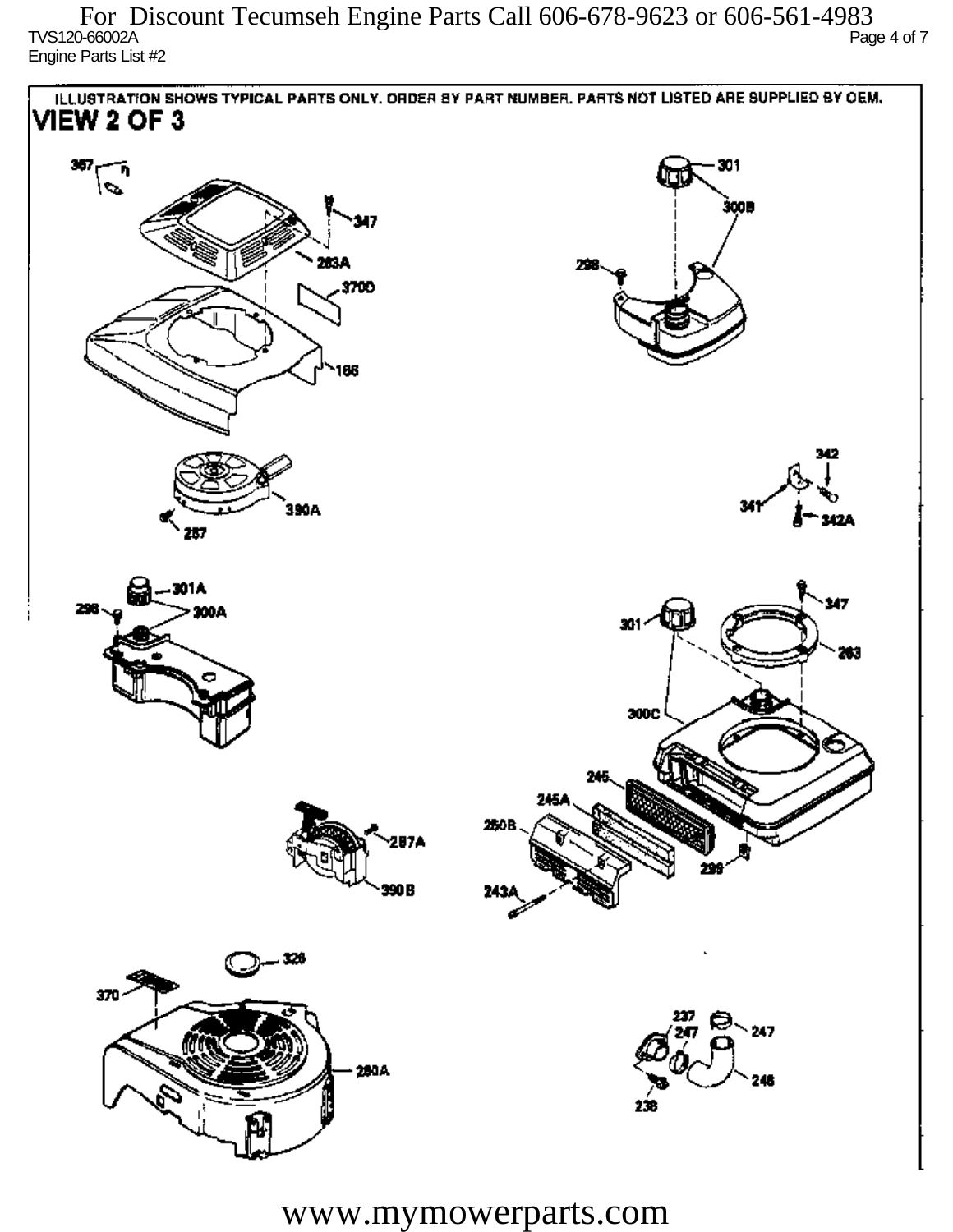$T$ VS120-66002A Page 4 of 7 Engine Parts List #2 For Discount Tecumseh Engine Parts Call 606-678-9623 or 606-561-4983



www.mymowerparts.com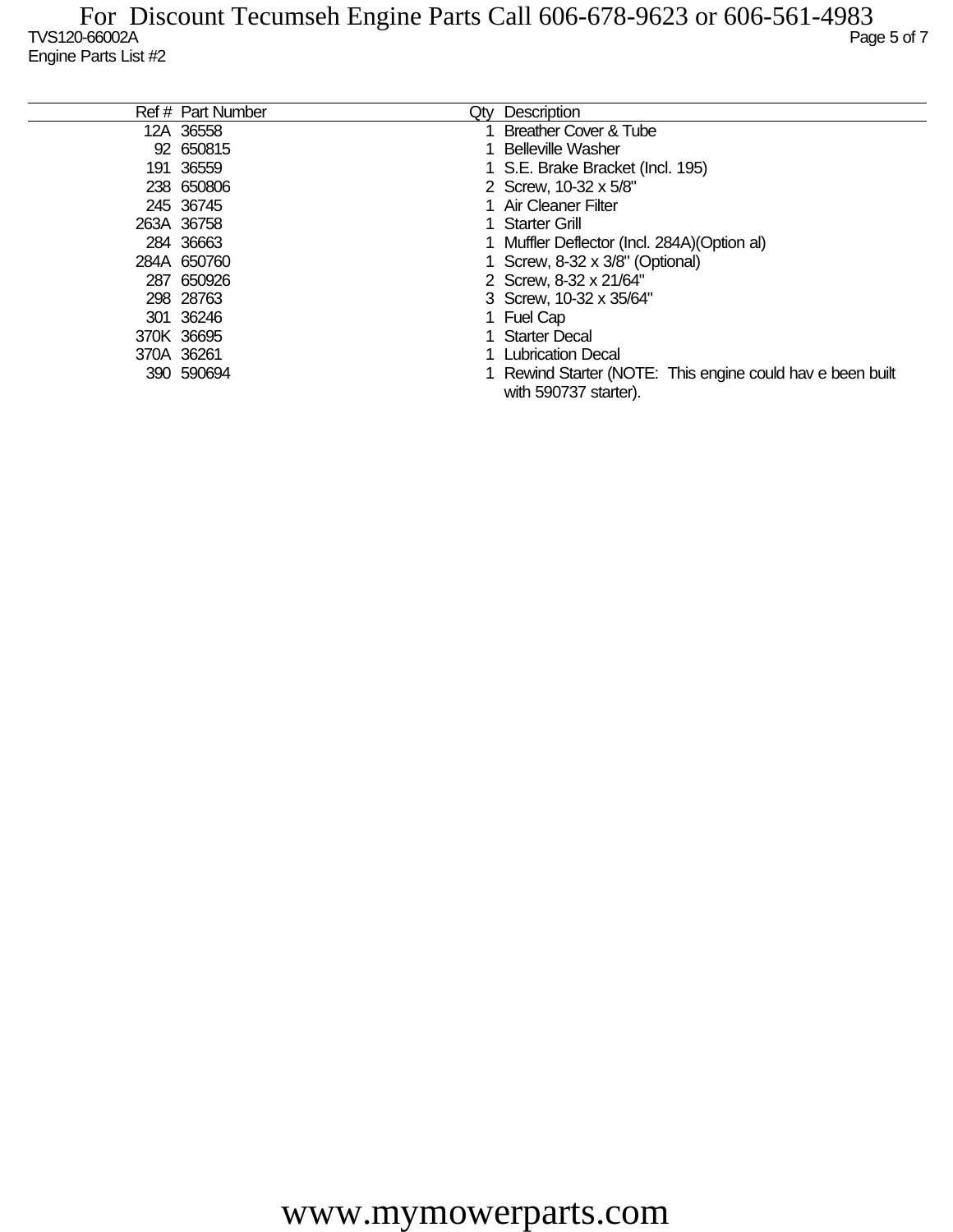| Ref # Part Number | Qtv | Description                                                                         |
|-------------------|-----|-------------------------------------------------------------------------------------|
| 12A 36558         |     | Breather Cover & Tube                                                               |
| 92 650815         |     | <b>Belleville Washer</b>                                                            |
| 191 36559         |     | 1 S.E. Brake Bracket (Incl. 195)                                                    |
| 238 650806        |     | 2 Screw, 10-32 x 5/8"                                                               |
| 245 36745         |     | 1 Air Cleaner Filter                                                                |
| 263A 36758        |     | <b>Starter Grill</b>                                                                |
| 284 36663         |     | 1 Muffler Deflector (Incl. 284A) (Option al)                                        |
| 284A 650760       |     | 1 Screw, 8-32 x 3/8" (Optional)                                                     |
| 287 650926        |     | 2 Screw, 8-32 x 21/64"                                                              |
| 298 28763         |     | 3 Screw, 10-32 x 35/64"                                                             |
| 301 36246         |     | 1 Fuel Cap                                                                          |
| 370K 36695        |     | 1 Starter Decal                                                                     |
| 370A 36261        |     | 1 Lubrication Decal                                                                 |
| 390 590694        |     | 1 Rewind Starter (NOTE: This engine could hav e been built<br>with 590737 starter). |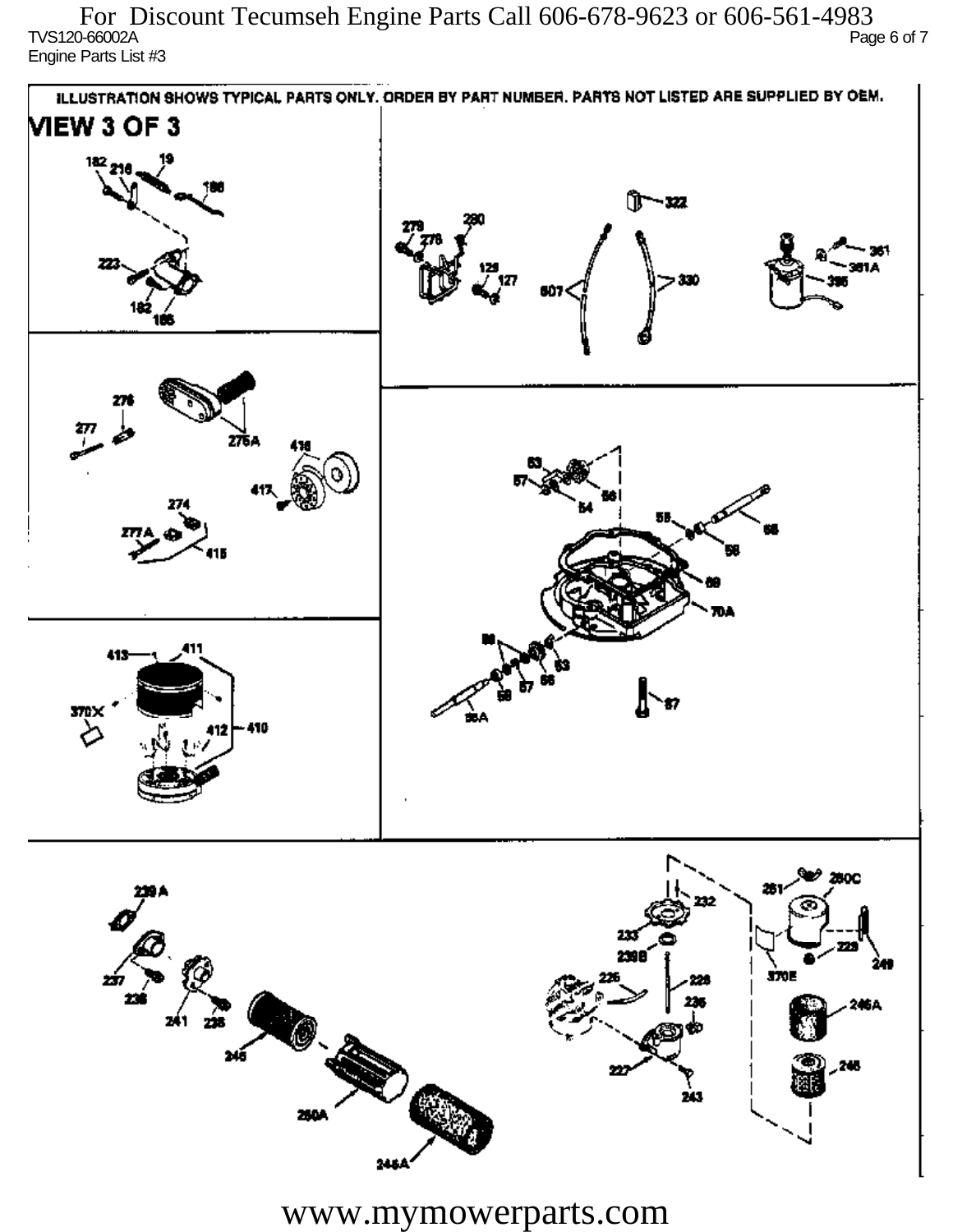$\overline{C}$  TVS120-66002A Page 6 of 7 Engine Parts List #3 For Discount Tecumseh Engine Parts Call 606-678-9623 or 606-561-4983



www.mymowerparts.com